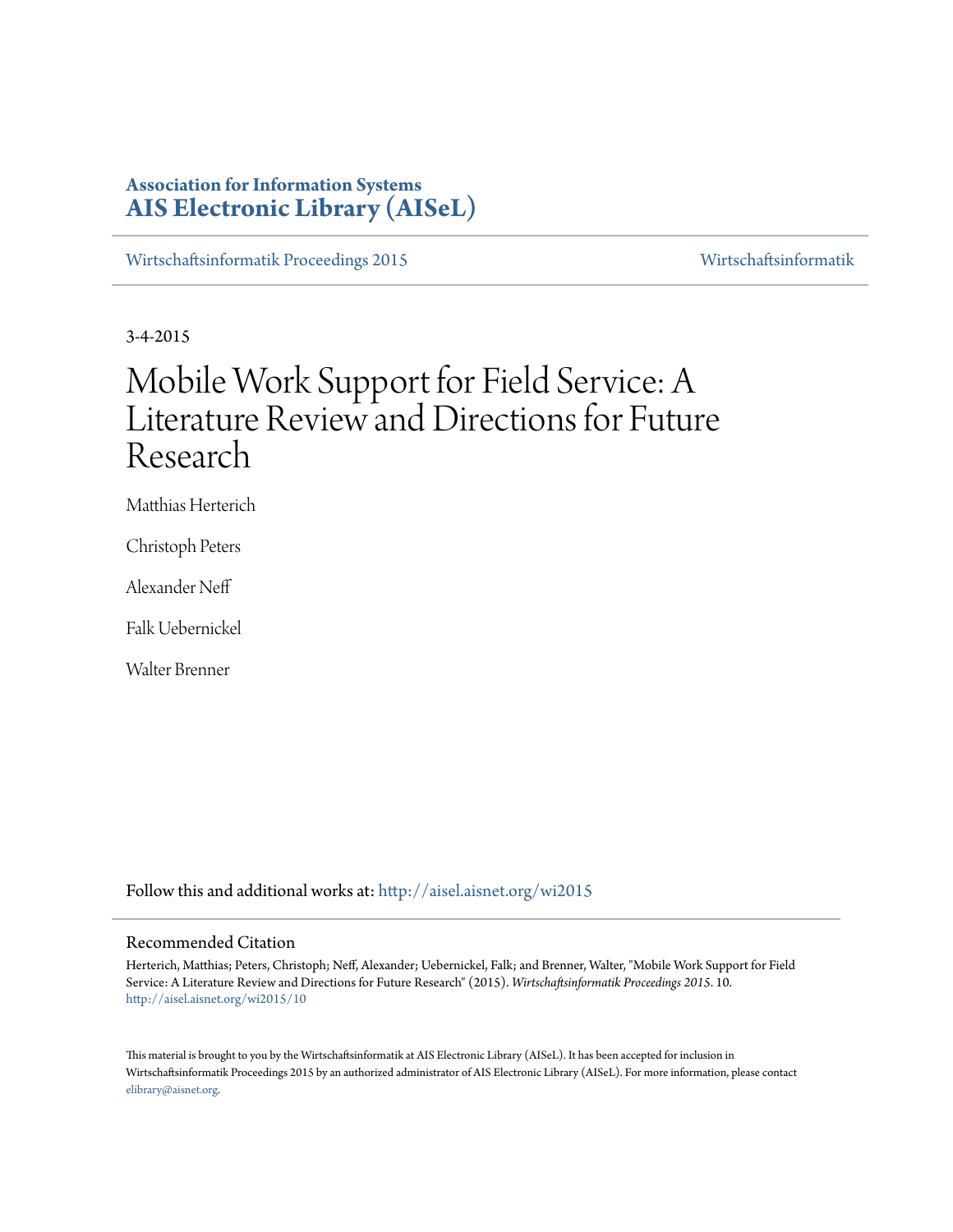# **Association for Information Systems [AIS Electronic Library \(AISeL\)](http://aisel.aisnet.org?utm_source=aisel.aisnet.org%2Fwi2015%2F10&utm_medium=PDF&utm_campaign=PDFCoverPages)**

[Wirtschaftsinformatik Proceedings 2015](http://aisel.aisnet.org/wi2015?utm_source=aisel.aisnet.org%2Fwi2015%2F10&utm_medium=PDF&utm_campaign=PDFCoverPages) [Wirtschaftsinformatik](http://aisel.aisnet.org/wi?utm_source=aisel.aisnet.org%2Fwi2015%2F10&utm_medium=PDF&utm_campaign=PDFCoverPages)

3-4-2015

# Mobile Work Support for Field Service: A Literature Review and Directions for Future Research

Matthias Herterich

Christoph Peters

Alexander Neff

Falk Uebernickel

Walter Brenner

Follow this and additional works at: [http://aisel.aisnet.org/wi2015](http://aisel.aisnet.org/wi2015?utm_source=aisel.aisnet.org%2Fwi2015%2F10&utm_medium=PDF&utm_campaign=PDFCoverPages)

#### Recommended Citation

Herterich, Matthias; Peters, Christoph; Neff, Alexander; Uebernickel, Falk; and Brenner, Walter, "Mobile Work Support for Field Service: A Literature Review and Directions for Future Research" (2015). *Wirtschaftsinformatik Proceedings 2015*. 10. [http://aisel.aisnet.org/wi2015/10](http://aisel.aisnet.org/wi2015/10?utm_source=aisel.aisnet.org%2Fwi2015%2F10&utm_medium=PDF&utm_campaign=PDFCoverPages)

This material is brought to you by the Wirtschaftsinformatik at AIS Electronic Library (AISeL). It has been accepted for inclusion in Wirtschaftsinformatik Proceedings 2015 by an authorized administrator of AIS Electronic Library (AISeL). For more information, please contact [elibrary@aisnet.org.](mailto:elibrary@aisnet.org%3E)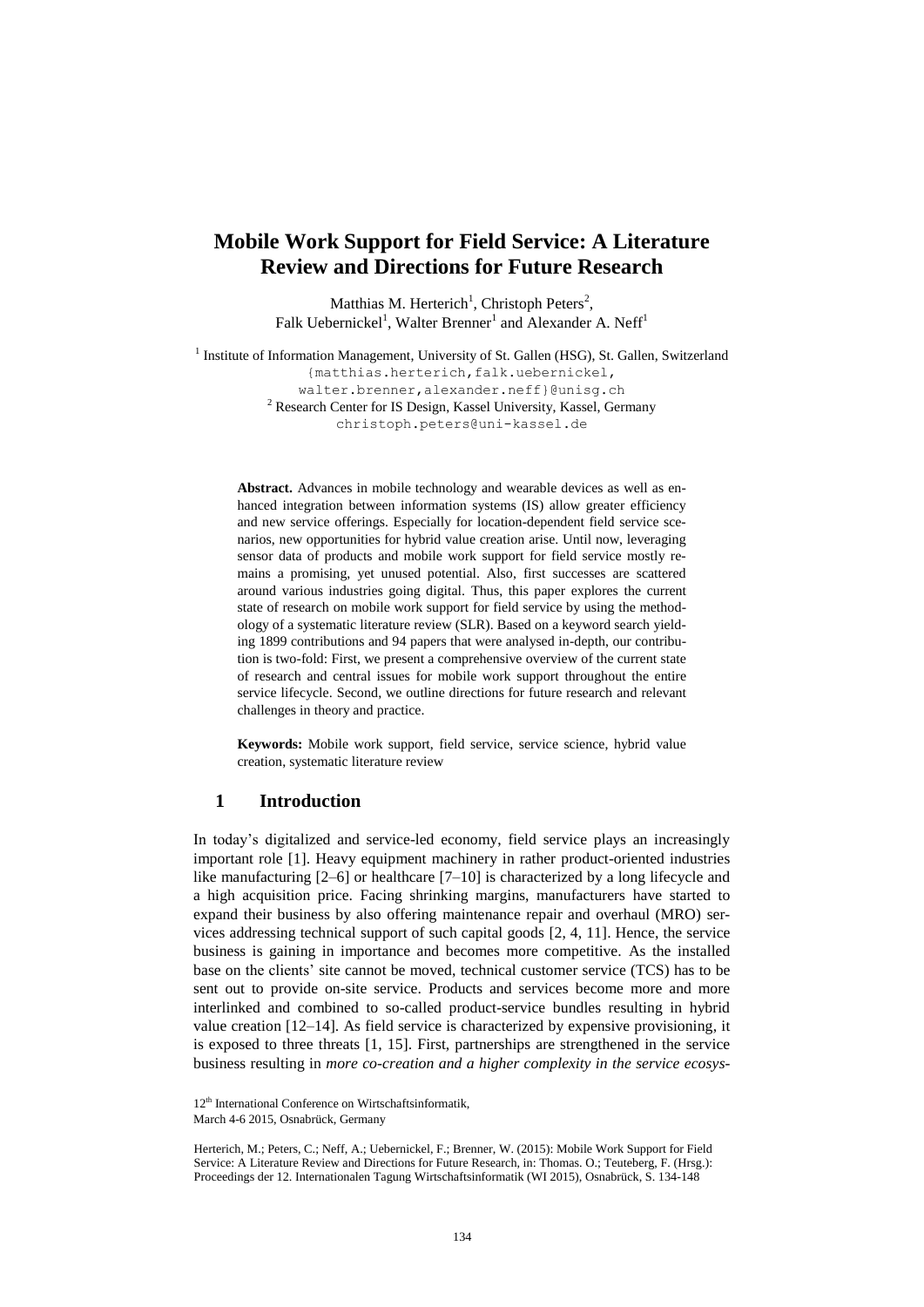## **Mobile Work Support for Field Service: A Literature Review and Directions for Future Research**

Matthias M. Herterich<sup>1</sup>, Christoph Peters<sup>2</sup>, Falk Uebernickel<sup>1</sup>, Walter Brenner<sup>1</sup> and Alexander A. Neff<sup>1</sup>

<sup>1</sup> Institute of Information Management, University of St. Gallen (HSG), St. Gallen, Switzerland {matthias.herterich, falk.uebernickel, walter.brenner,alexander.neff}@unisg.ch <sup>2</sup> Research Center for IS Design, Kassel University, Kassel, Germany christoph.peters@uni-kassel.de

**Abstract.** Advances in mobile technology and wearable devices as well as enhanced integration between information systems (IS) allow greater efficiency and new service offerings. Especially for location-dependent field service scenarios, new opportunities for hybrid value creation arise. Until now, leveraging sensor data of products and mobile work support for field service mostly remains a promising, yet unused potential. Also, first successes are scattered around various industries going digital. Thus, this paper explores the current state of research on mobile work support for field service by using the methodology of a systematic literature review (SLR). Based on a keyword search yielding 1899 contributions and 94 papers that were analysed in-depth, our contribution is two-fold: First, we present a comprehensive overview of the current state of research and central issues for mobile work support throughout the entire service lifecycle. Second, we outline directions for future research and relevant challenges in theory and practice.

**Keywords:** Mobile work support, field service, service science, hybrid value creation, systematic literature review

## **1 Introduction**

In today's digitalized and service-led economy, field service plays an increasingly important role [1]. Heavy equipment machinery in rather product-oriented industries like manufacturing [2–6] or healthcare [7–10] is characterized by a long lifecycle and a high acquisition price. Facing shrinking margins, manufacturers have started to expand their business by also offering maintenance repair and overhaul (MRO) services addressing technical support of such capital goods [2, 4, 11]. Hence, the service business is gaining in importance and becomes more competitive. As the installed base on the clients' site cannot be moved, technical customer service (TCS) has to be sent out to provide on-site service. Products and services become more and more interlinked and combined to so-called product-service bundles resulting in hybrid value creation [12–14]. As field service is characterized by expensive provisioning, it is exposed to three threats [1, 15]. First, partnerships are strengthened in the service business resulting in *more co-creation and a higher complexity in the service ecosys-*

<sup>12&</sup>lt;sup>th</sup> International Conference on Wirtschaftsinformatik,

March 4-6 2015, Osnabrück, Germany

Herterich, M.; Peters, C.; Neff, A.; Uebernickel, F.; Brenner, W. (2015): Mobile Work Support for Field Service: A Literature Review and Directions for Future Research, in: Thomas. O.; Teuteberg, F. (Hrsg.): Proceedings der 12. Internationalen Tagung Wirtschaftsinformatik (WI 2015), Osnabrück, S. 134-148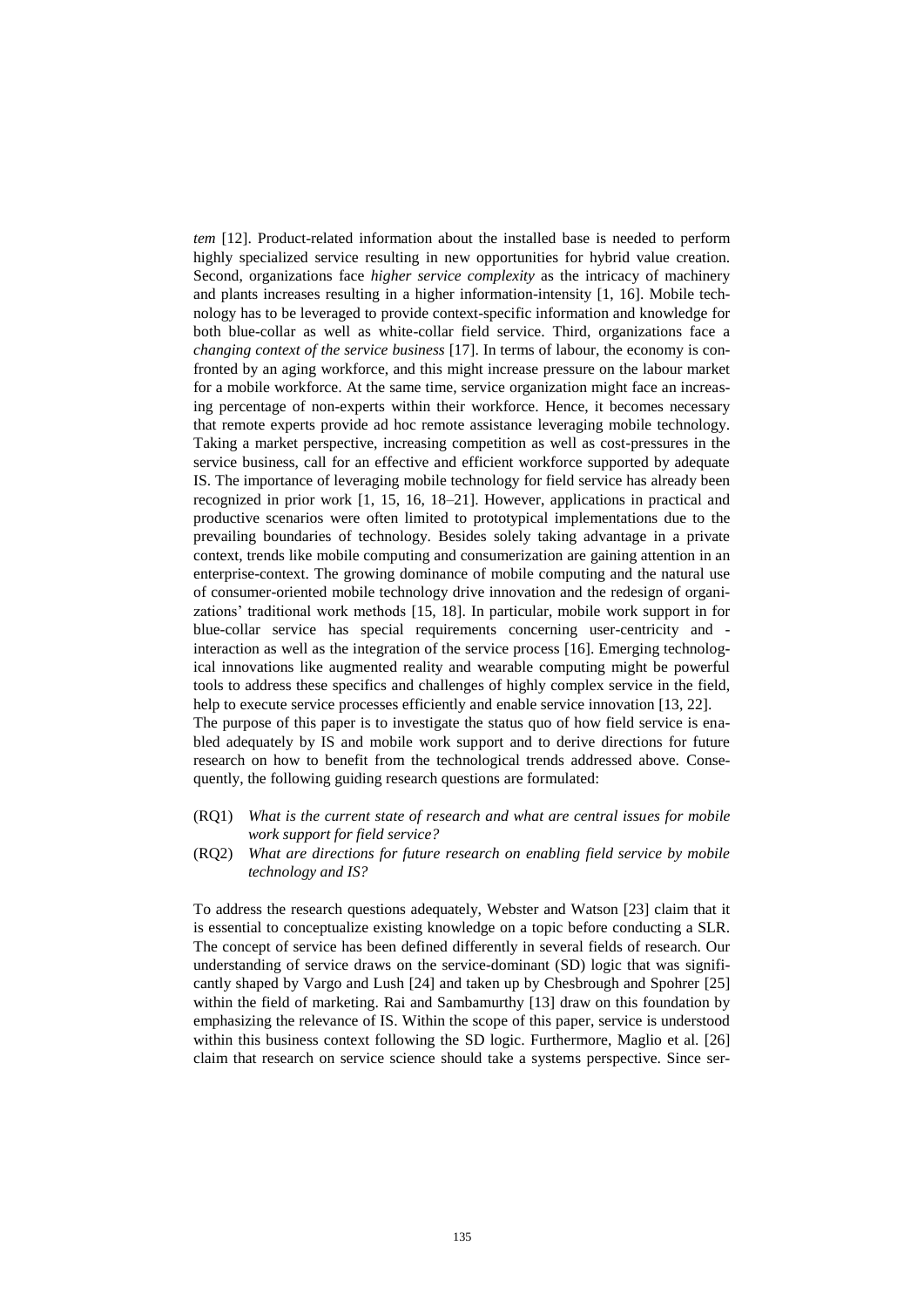*tem* [12]. Product-related information about the installed base is needed to perform highly specialized service resulting in new opportunities for hybrid value creation. Second, organizations face *higher service complexity* as the intricacy of machinery and plants increases resulting in a higher information-intensity [1, 16]. Mobile technology has to be leveraged to provide context-specific information and knowledge for both blue-collar as well as white-collar field service. Third, organizations face a *changing context of the service business* [17]. In terms of labour, the economy is confronted by an aging workforce, and this might increase pressure on the labour market for a mobile workforce. At the same time, service organization might face an increasing percentage of non-experts within their workforce. Hence, it becomes necessary that remote experts provide ad hoc remote assistance leveraging mobile technology. Taking a market perspective, increasing competition as well as cost-pressures in the service business, call for an effective and efficient workforce supported by adequate IS. The importance of leveraging mobile technology for field service has already been recognized in prior work [1, 15, 16, 18–21]. However, applications in practical and productive scenarios were often limited to prototypical implementations due to the prevailing boundaries of technology. Besides solely taking advantage in a private context, trends like mobile computing and consumerization are gaining attention in an enterprise-context. The growing dominance of mobile computing and the natural use of consumer-oriented mobile technology drive innovation and the redesign of organizations' traditional work methods [15, 18]. In particular, mobile work support in for blue-collar service has special requirements concerning user-centricity and interaction as well as the integration of the service process [16]. Emerging technological innovations like augmented reality and wearable computing might be powerful tools to address these specifics and challenges of highly complex service in the field, help to execute service processes efficiently and enable service innovation [13, 22]. The purpose of this paper is to investigate the status quo of how field service is ena-

bled adequately by IS and mobile work support and to derive directions for future research on how to benefit from the technological trends addressed above. Consequently, the following guiding research questions are formulated:

- (RQ1) *What is the current state of research and what are central issues for mobile work support for field service?*
- (RQ2) *What are directions for future research on enabling field service by mobile technology and IS?*

To address the research questions adequately, Webster and Watson [23] claim that it is essential to conceptualize existing knowledge on a topic before conducting a SLR. The concept of service has been defined differently in several fields of research. Our understanding of service draws on the service-dominant (SD) logic that was significantly shaped by Vargo and Lush [24] and taken up by Chesbrough and Spohrer [25] within the field of marketing. Rai and Sambamurthy [13] draw on this foundation by emphasizing the relevance of IS. Within the scope of this paper, service is understood within this business context following the SD logic. Furthermore, Maglio et al. [26] claim that research on service science should take a systems perspective. Since ser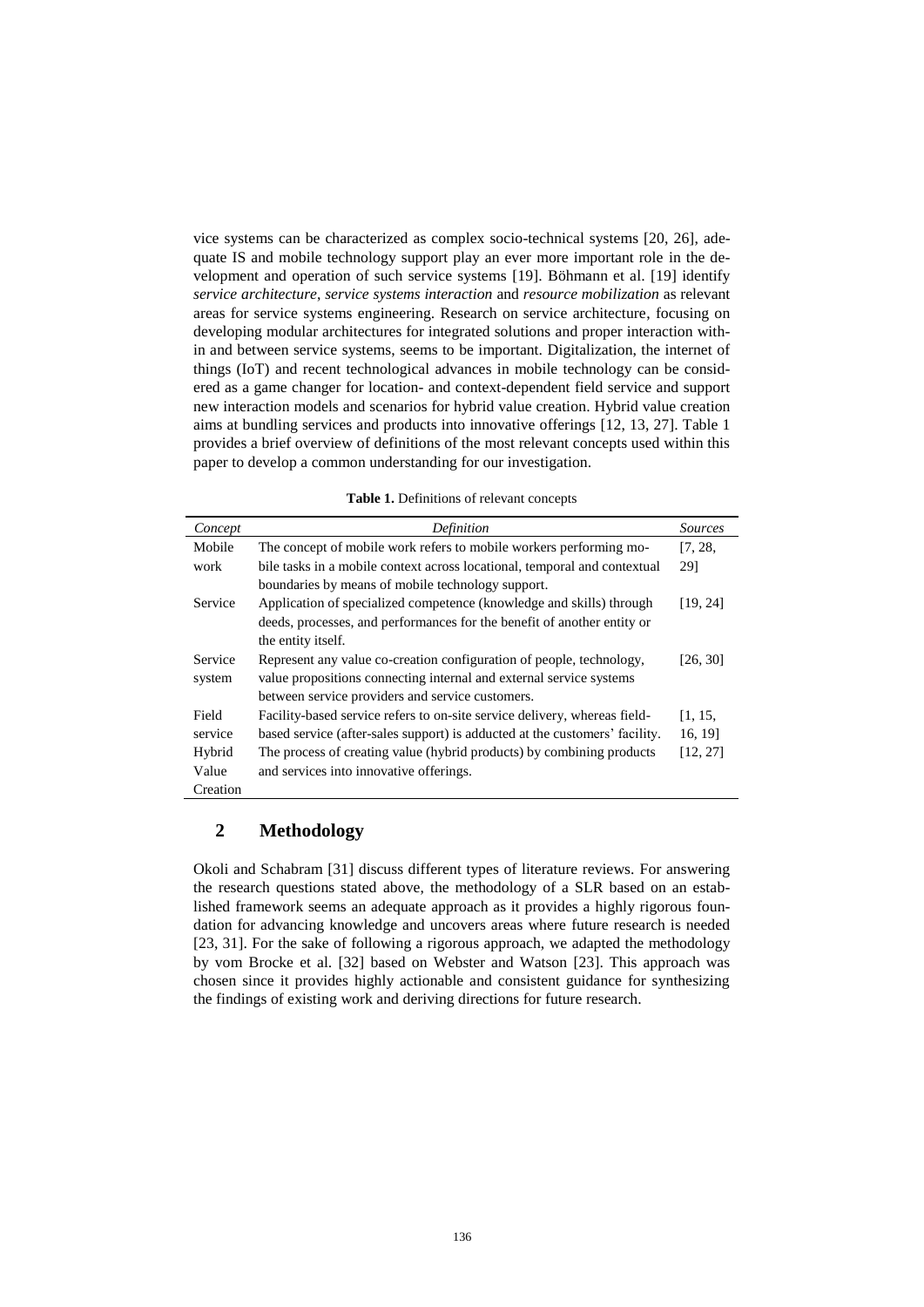vice systems can be characterized as complex socio-technical systems [20, 26], adequate IS and mobile technology support play an ever more important role in the development and operation of such service systems [19]. Böhmann et al. [19] identify *service architecture*, *service systems interaction* and *resource mobilization* as relevant areas for service systems engineering. Research on service architecture, focusing on developing modular architectures for integrated solutions and proper interaction within and between service systems, seems to be important. Digitalization, the internet of things (IoT) and recent technological advances in mobile technology can be considered as a game changer for location- and context-dependent field service and support new interaction models and scenarios for hybrid value creation. Hybrid value creation aims at bundling services and products into innovative offerings [12, 13, 27]. [Table 1](#page-3-0) provides a brief overview of definitions of the most relevant concepts used within this paper to develop a common understanding for our investigation.

**Table 1.** Definitions of relevant concepts

<span id="page-3-0"></span>

| Concept  | Definition                                                                  | Sources  |
|----------|-----------------------------------------------------------------------------|----------|
| Mobile   | The concept of mobile work refers to mobile workers performing mo-          | [7, 28,  |
| work     | bile tasks in a mobile context across locational, temporal and contextual   | 291      |
|          | boundaries by means of mobile technology support.                           |          |
| Service  | Application of specialized competence (knowledge and skills) through        | [19, 24] |
|          | deeds, processes, and performances for the benefit of another entity or     |          |
|          | the entity itself.                                                          |          |
| Service  | Represent any value co-creation configuration of people, technology,        | [26, 30] |
| system   | value propositions connecting internal and external service systems         |          |
|          | between service providers and service customers.                            |          |
| Field    | Facility-based service refers to on-site service delivery, whereas field-   | [1, 15,  |
| service  | based service (after-sales support) is adducted at the customers' facility. | 16, 19]  |
| Hybrid   | The process of creating value (hybrid products) by combining products       | [12, 27] |
| Value    | and services into innovative offerings.                                     |          |
| Creation |                                                                             |          |

## **2 Methodology**

Okoli and Schabram [31] discuss different types of literature reviews. For answering the research questions stated above, the methodology of a SLR based on an established framework seems an adequate approach as it provides a highly rigorous foundation for advancing knowledge and uncovers areas where future research is needed [23, 31]. For the sake of following a rigorous approach, we adapted the methodology by vom Brocke et al. [32] based on Webster and Watson [23]. This approach was chosen since it provides highly actionable and consistent guidance for synthesizing the findings of existing work and deriving directions for future research.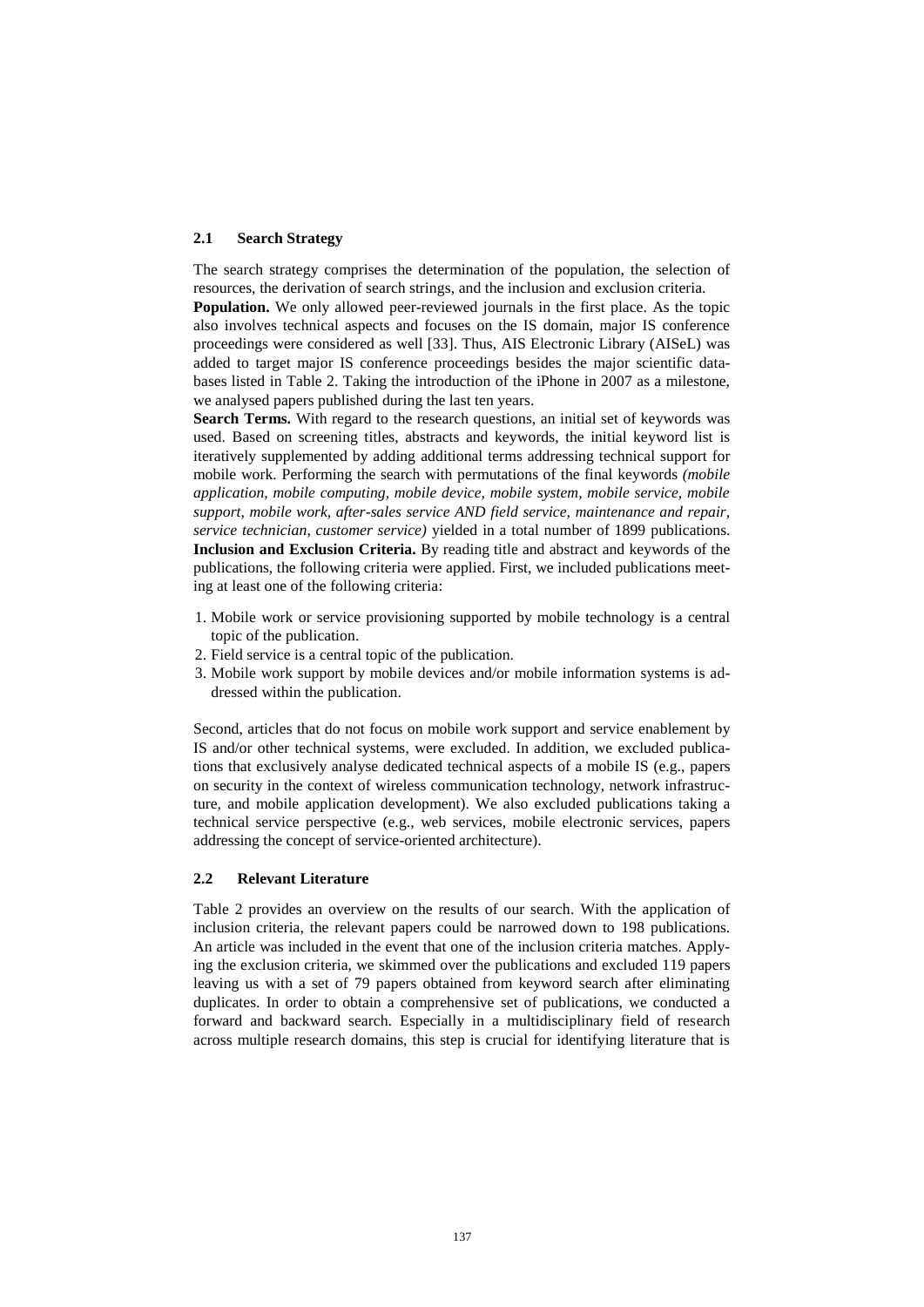#### **2.1 Search Strategy**

The search strategy comprises the determination of the population, the selection of resources, the derivation of search strings, and the inclusion and exclusion criteria.

**Population.** We only allowed peer-reviewed journals in the first place. As the topic also involves technical aspects and focuses on the IS domain, major IS conference proceedings were considered as well [33]. Thus, AIS Electronic Library (AISeL) was added to target major IS conference proceedings besides the major scientific databases listed in Table 2. Taking the introduction of the iPhone in 2007 as a milestone, we analysed papers published during the last ten years.

**Search Terms.** With regard to the research questions, an initial set of keywords was used. Based on screening titles, abstracts and keywords, the initial keyword list is iteratively supplemented by adding additional terms addressing technical support for mobile work. Performing the search with permutations of the final keywords *(mobile application, mobile computing, mobile device, mobile system, mobile service, mobile support, mobile work, after-sales service AND field service, maintenance and repair, service technician, customer service)* yielded in a total number of 1899 publications. **Inclusion and Exclusion Criteria.** By reading title and abstract and keywords of the publications, the following criteria were applied. First, we included publications meeting at least one of the following criteria:

- 1. Mobile work or service provisioning supported by mobile technology is a central topic of the publication.
- 2. Field service is a central topic of the publication.
- 3. Mobile work support by mobile devices and/or mobile information systems is addressed within the publication.

Second, articles that do not focus on mobile work support and service enablement by IS and/or other technical systems, were excluded. In addition, we excluded publications that exclusively analyse dedicated technical aspects of a mobile IS (e.g., papers on security in the context of wireless communication technology, network infrastructure, and mobile application development). We also excluded publications taking a technical service perspective (e.g., web services, mobile electronic services, papers addressing the concept of service-oriented architecture).

#### **2.2 Relevant Literature**

[Table 2](#page-5-0) provides an overview on the results of our search. With the application of inclusion criteria, the relevant papers could be narrowed down to 198 publications. An article was included in the event that one of the inclusion criteria matches. Applying the exclusion criteria, we skimmed over the publications and excluded 119 papers leaving us with a set of 79 papers obtained from keyword search after eliminating duplicates. In order to obtain a comprehensive set of publications, we conducted a forward and backward search. Especially in a multidisciplinary field of research across multiple research domains, this step is crucial for identifying literature that is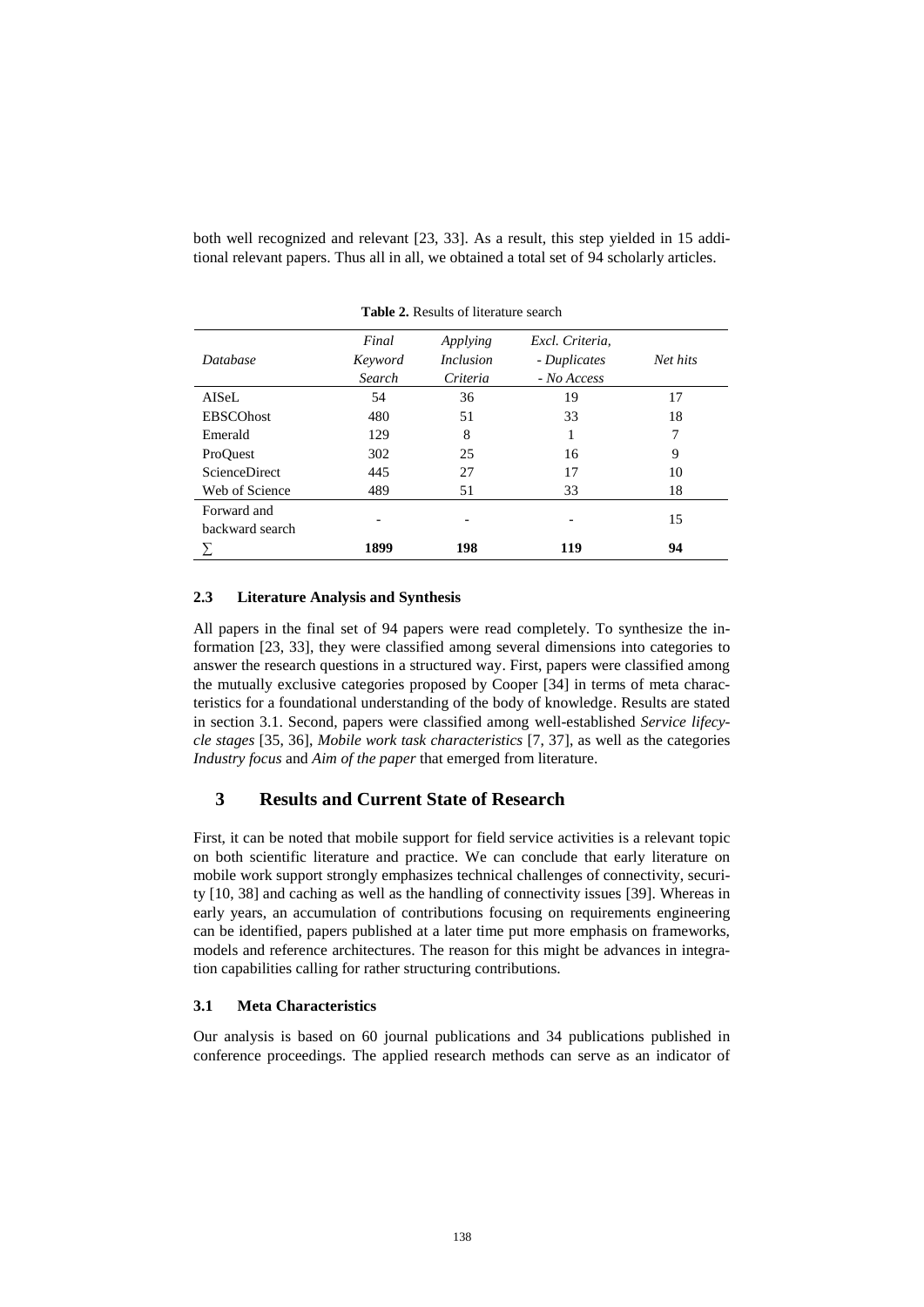both well recognized and relevant [23, 33]. As a result, this step yielded in 15 additional relevant papers. Thus all in all, we obtained a total set of 94 scholarly articles.

<span id="page-5-0"></span>

| Database                       | Final<br>Keyword<br>Search | Applying<br><i>Inclusion</i><br>Criteria | Excl. Criteria,<br>- Duplicates<br>- No Access | Net hits |
|--------------------------------|----------------------------|------------------------------------------|------------------------------------------------|----------|
| AISeL                          | 54                         | 36                                       | 19                                             | 17       |
| <b>EBSCOhost</b>               | 480                        | 51                                       | 33                                             | 18       |
| Emerald                        | 129                        | 8                                        |                                                | 7        |
| ProQuest                       | 302                        | 25                                       | 16                                             | 9        |
| <b>ScienceDirect</b>           | 445                        | 27                                       | 17                                             | 10       |
| Web of Science                 | 489                        | 51                                       | 33                                             | 18       |
| Forward and<br>backward search |                            |                                          |                                                | 15       |
|                                | 1899                       | 198                                      | 119                                            | 94       |

**Table 2.** Results of literature search

#### **2.3 Literature Analysis and Synthesis**

All papers in the final set of 94 papers were read completely. To synthesize the information [23, 33], they were classified among several dimensions into categories to answer the research questions in a structured way. First, papers were classified among the mutually exclusive categories proposed by Cooper [34] in terms of meta characteristics for a foundational understanding of the body of knowledge. Results are stated in section [3.1.](#page-5-1) Second, papers were classified among well-established *Service lifecycle stages* [35, 36], *Mobile work task characteristics* [7, 37], as well as the categories *Industry focus* and *Aim of the paper* that emerged from literature.

## <span id="page-5-2"></span>**3 Results and Current State of Research**

First, it can be noted that mobile support for field service activities is a relevant topic on both scientific literature and practice. We can conclude that early literature on mobile work support strongly emphasizes technical challenges of connectivity, security [10, 38] and caching as well as the handling of connectivity issues [39]. Whereas in early years, an accumulation of contributions focusing on requirements engineering can be identified, papers published at a later time put more emphasis on frameworks, models and reference architectures. The reason for this might be advances in integration capabilities calling for rather structuring contributions.

#### <span id="page-5-1"></span>**3.1 Meta Characteristics**

Our analysis is based on 60 journal publications and 34 publications published in conference proceedings. The applied research methods can serve as an indicator of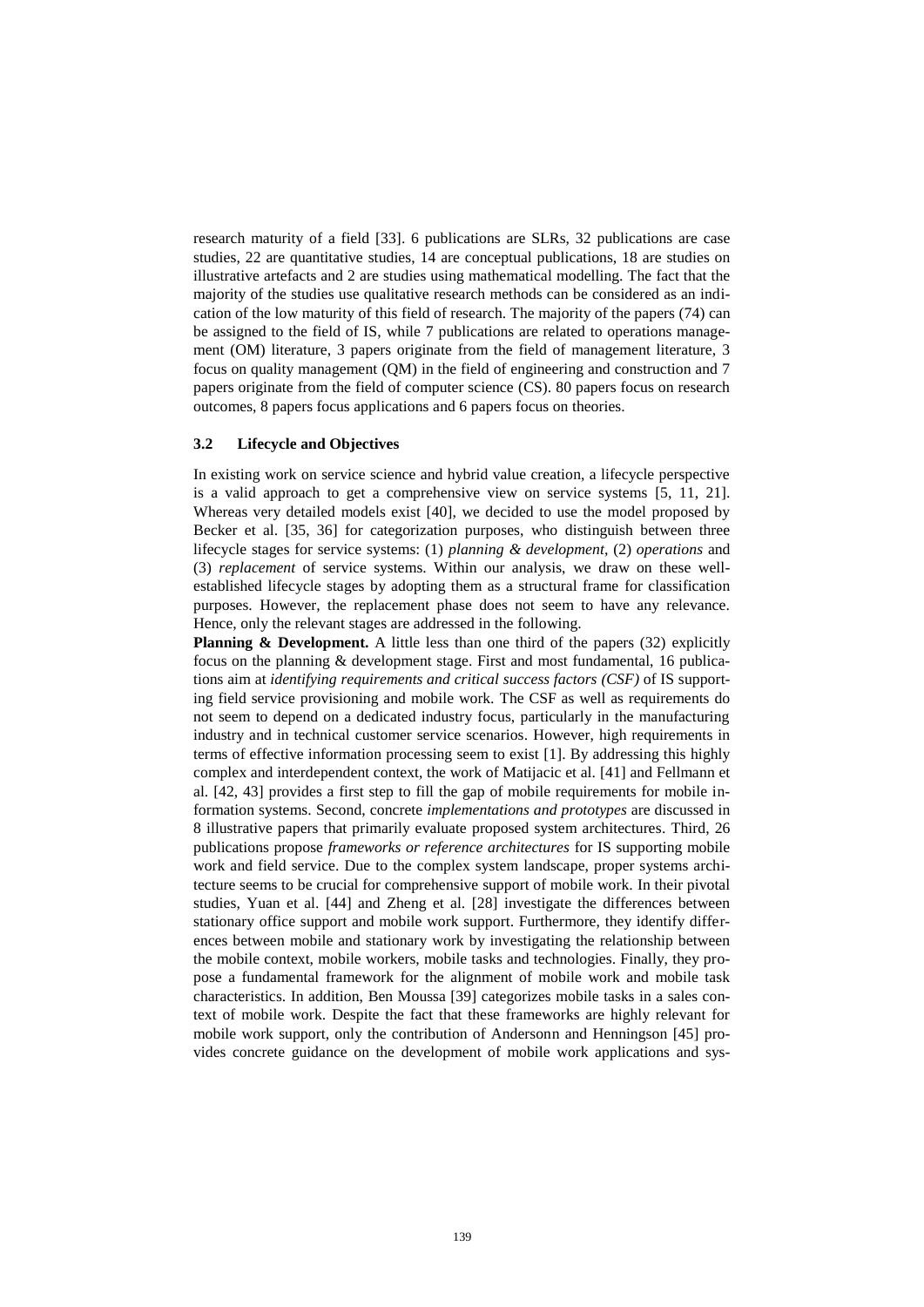research maturity of a field [33]. 6 publications are SLRs, 32 publications are case studies, 22 are quantitative studies, 14 are conceptual publications, 18 are studies on illustrative artefacts and 2 are studies using mathematical modelling. The fact that the majority of the studies use qualitative research methods can be considered as an indication of the low maturity of this field of research. The majority of the papers (74) can be assigned to the field of IS, while 7 publications are related to operations management (OM) literature, 3 papers originate from the field of management literature, 3 focus on quality management (QM) in the field of engineering and construction and 7 papers originate from the field of computer science (CS). 80 papers focus on research outcomes, 8 papers focus applications and 6 papers focus on theories.

#### **3.2 Lifecycle and Objectives**

In existing work on service science and hybrid value creation, a lifecycle perspective is a valid approach to get a comprehensive view on service systems [5, 11, 21]. Whereas very detailed models exist [40], we decided to use the model proposed by Becker et al. [35, 36] for categorization purposes, who distinguish between three lifecycle stages for service systems: (1) *planning & development*, (2) *operations* and (3) *replacement* of service systems. Within our analysis, we draw on these wellestablished lifecycle stages by adopting them as a structural frame for classification purposes. However, the replacement phase does not seem to have any relevance. Hence, only the relevant stages are addressed in the following.

**Planning & Development.** A little less than one third of the papers (32) explicitly focus on the planning & development stage. First and most fundamental, 16 publications aim at *identifying requirements and critical success factors (CSF)* of IS supporting field service provisioning and mobile work. The CSF as well as requirements do not seem to depend on a dedicated industry focus, particularly in the manufacturing industry and in technical customer service scenarios. However, high requirements in terms of effective information processing seem to exist [1]. By addressing this highly complex and interdependent context, the work of Matijacic et al. [41] and Fellmann et al. [42, 43] provides a first step to fill the gap of mobile requirements for mobile information systems. Second, concrete *implementations and prototypes* are discussed in 8 illustrative papers that primarily evaluate proposed system architectures. Third, 26 publications propose *frameworks or reference architectures* for IS supporting mobile work and field service. Due to the complex system landscape, proper systems architecture seems to be crucial for comprehensive support of mobile work. In their pivotal studies, Yuan et al. [44] and Zheng et al. [28] investigate the differences between stationary office support and mobile work support. Furthermore, they identify differences between mobile and stationary work by investigating the relationship between the mobile context, mobile workers, mobile tasks and technologies. Finally, they propose a fundamental framework for the alignment of mobile work and mobile task characteristics. In addition, Ben Moussa [39] categorizes mobile tasks in a sales context of mobile work. Despite the fact that these frameworks are highly relevant for mobile work support, only the contribution of Andersonn and Henningson [45] provides concrete guidance on the development of mobile work applications and sys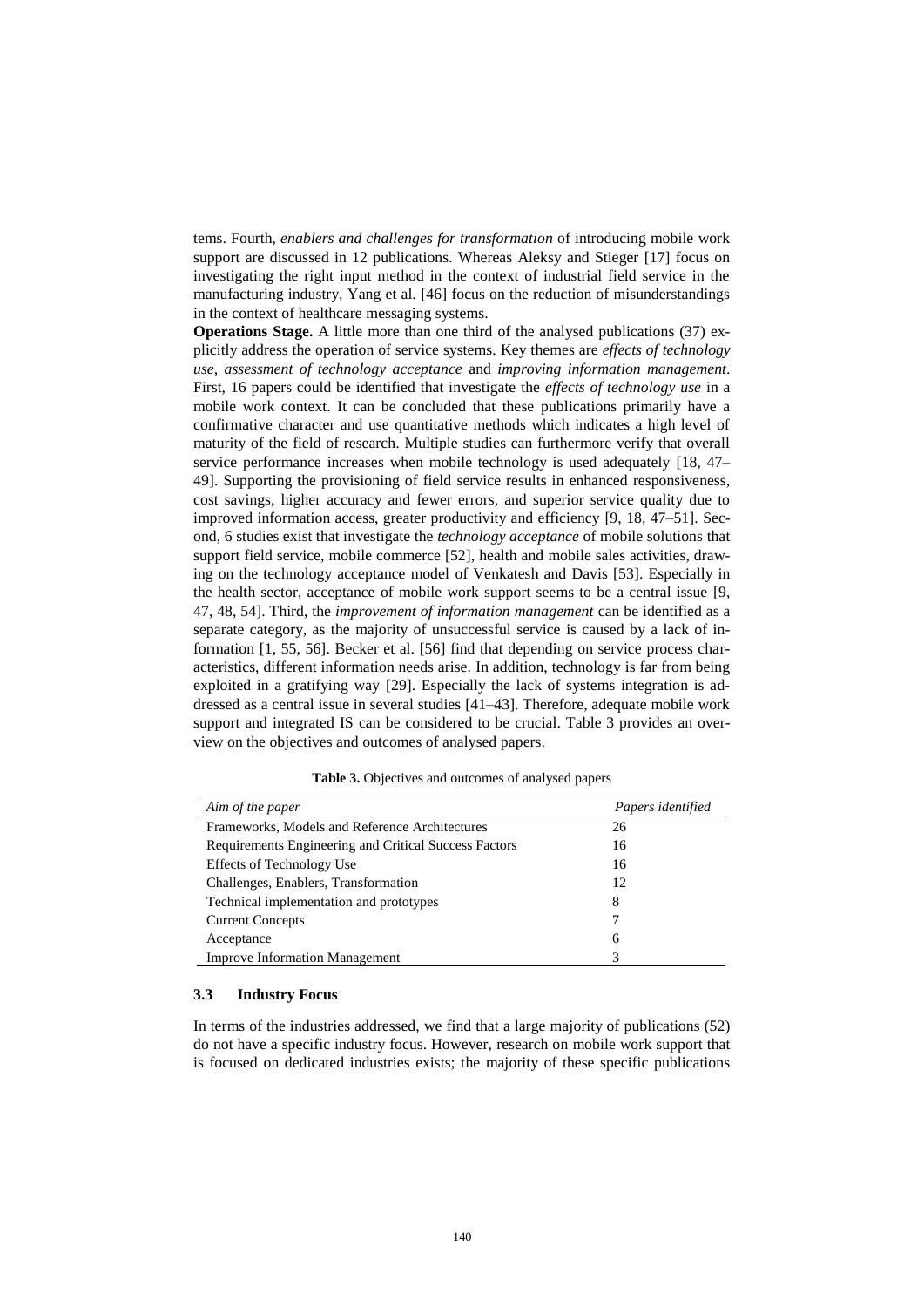tems. Fourth, *enablers and challenges for transformation* of introducing mobile work support are discussed in 12 publications. Whereas Aleksy and Stieger [17] focus on investigating the right input method in the context of industrial field service in the manufacturing industry, Yang et al. [46] focus on the reduction of misunderstandings in the context of healthcare messaging systems.

**Operations Stage.** A little more than one third of the analysed publications (37) explicitly address the operation of service systems. Key themes are *effects of technology use, assessment of technology acceptance* and *improving information management*. First, 16 papers could be identified that investigate the *effects of technology use* in a mobile work context. It can be concluded that these publications primarily have a confirmative character and use quantitative methods which indicates a high level of maturity of the field of research. Multiple studies can furthermore verify that overall service performance increases when mobile technology is used adequately [18, 47– 49]. Supporting the provisioning of field service results in enhanced responsiveness, cost savings, higher accuracy and fewer errors, and superior service quality due to improved information access, greater productivity and efficiency [9, 18, 47–51]. Second, 6 studies exist that investigate the *technology acceptance* of mobile solutions that support field service, mobile commerce [52], health and mobile sales activities, drawing on the technology acceptance model of Venkatesh and Davis [53]. Especially in the health sector, acceptance of mobile work support seems to be a central issue [9, 47, 48, 54]. Third, the *improvement of information management* can be identified as a separate category, as the majority of unsuccessful service is caused by a lack of information [1, 55, 56]. Becker et al. [56] find that depending on service process characteristics, different information needs arise. In addition, technology is far from being exploited in a gratifying way [29]. Especially the lack of systems integration is addressed as a central issue in several studies [41–43]. Therefore, adequate mobile work support and integrated IS can be considered to be crucial. [Table 3](#page-7-0) provides an overview on the objectives and outcomes of analysed papers.

<span id="page-7-0"></span>

| Aim of the paper                                      | Papers identified |
|-------------------------------------------------------|-------------------|
| Frameworks, Models and Reference Architectures        | 26                |
| Requirements Engineering and Critical Success Factors | 16                |
| <b>Effects of Technology Use</b>                      | 16                |
| Challenges, Enablers, Transformation                  | 12                |
| Technical implementation and prototypes               | 8                 |
| <b>Current Concepts</b>                               |                   |
| Acceptance                                            | 6                 |
| <b>Improve Information Management</b>                 |                   |

**Table 3.** Objectives and outcomes of analysed papers

#### **3.3 Industry Focus**

In terms of the industries addressed, we find that a large majority of publications (52) do not have a specific industry focus. However, research on mobile work support that is focused on dedicated industries exists; the majority of these specific publications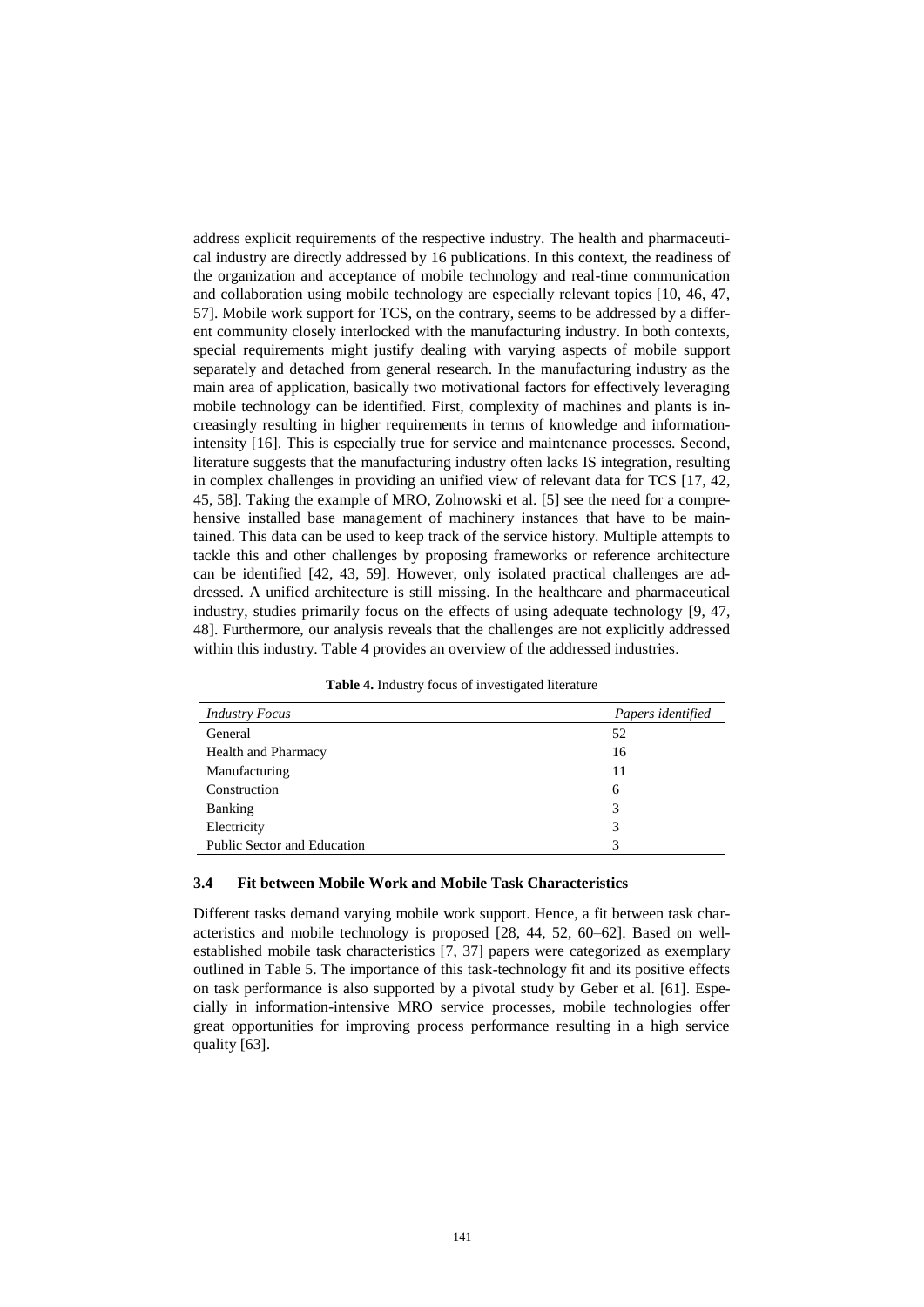address explicit requirements of the respective industry. The health and pharmaceutical industry are directly addressed by 16 publications. In this context, the readiness of the organization and acceptance of mobile technology and real-time communication and collaboration using mobile technology are especially relevant topics [10, 46, 47, 57]. Mobile work support for TCS, on the contrary, seems to be addressed by a different community closely interlocked with the manufacturing industry. In both contexts, special requirements might justify dealing with varying aspects of mobile support separately and detached from general research. In the manufacturing industry as the main area of application, basically two motivational factors for effectively leveraging mobile technology can be identified. First, complexity of machines and plants is increasingly resulting in higher requirements in terms of knowledge and informationintensity [16]. This is especially true for service and maintenance processes. Second, literature suggests that the manufacturing industry often lacks IS integration, resulting in complex challenges in providing an unified view of relevant data for TCS [17, 42, 45, 58]. Taking the example of MRO, Zolnowski et al. [5] see the need for a comprehensive installed base management of machinery instances that have to be maintained. This data can be used to keep track of the service history. Multiple attempts to tackle this and other challenges by proposing frameworks or reference architecture can be identified [42, 43, 59]. However, only isolated practical challenges are addressed. A unified architecture is still missing. In the healthcare and pharmaceutical industry, studies primarily focus on the effects of using adequate technology [9, 47, 48]. Furthermore, our analysis reveals that the challenges are not explicitly addressed within this industry. [Table 4](#page-8-0) provides an overview of the addressed industries.

**Table 4.** Industry focus of investigated literature

<span id="page-8-0"></span>

| <b>Industry Focus</b>       | Papers identified |
|-----------------------------|-------------------|
| General                     | 52                |
| <b>Health and Pharmacy</b>  | 16                |
| Manufacturing               | 11                |
| Construction                | 6                 |
| <b>Banking</b>              |                   |
| Electricity                 | 3                 |
| Public Sector and Education |                   |

#### **3.4 Fit between Mobile Work and Mobile Task Characteristics**

Different tasks demand varying mobile work support. Hence, a fit between task characteristics and mobile technology is proposed [28, 44, 52, 60–62]. Based on wellestablished mobile task characteristics [7, 37] papers were categorized as exemplary outlined in [Table 5.](#page-9-0) The importance of this task-technology fit and its positive effects on task performance is also supported by a pivotal study by Geber et al. [61]. Especially in information-intensive MRO service processes, mobile technologies offer great opportunities for improving process performance resulting in a high service quality [63].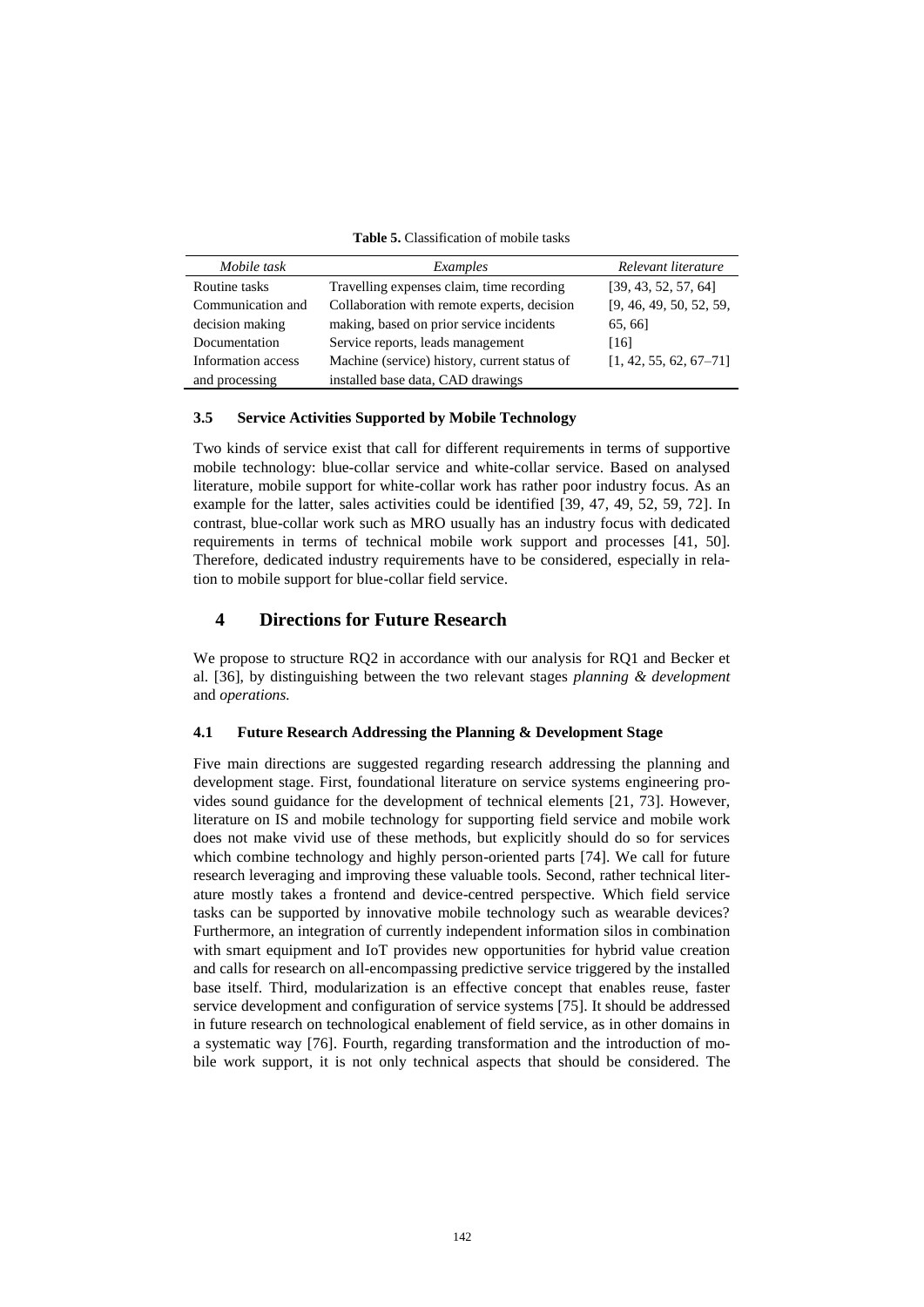| <b>Table 5.</b> Classification of mobile tasks |  |  |  |  |  |
|------------------------------------------------|--|--|--|--|--|
|------------------------------------------------|--|--|--|--|--|

<span id="page-9-0"></span>

| Mobile task        | Examples                                     | Relevant literature      |
|--------------------|----------------------------------------------|--------------------------|
| Routine tasks      | Travelling expenses claim, time recording    | [39, 43, 52, 57, 64]     |
| Communication and  | Collaboration with remote experts, decision  | [9, 46, 49, 50, 52, 59,  |
| decision making    | making, based on prior service incidents     | 65, 66                   |
| Documentation      | Service reports, leads management            | [16]                     |
| Information access | Machine (service) history, current status of | $[1, 42, 55, 62, 67-71]$ |
| and processing     | installed base data, CAD drawings            |                          |

#### **3.5 Service Activities Supported by Mobile Technology**

Two kinds of service exist that call for different requirements in terms of supportive mobile technology: blue-collar service and white-collar service. Based on analysed literature, mobile support for white-collar work has rather poor industry focus. As an example for the latter, sales activities could be identified [39, 47, 49, 52, 59, 72]. In contrast, blue-collar work such as MRO usually has an industry focus with dedicated requirements in terms of technical mobile work support and processes [41, 50]. Therefore, dedicated industry requirements have to be considered, especially in relation to mobile support for blue-collar field service.

### **4 Directions for Future Research**

We propose to structure RO2 in accordance with our analysis for RO1 and Becker et al. [36], by distinguishing between the two relevant stages *planning & development* and *operations.*

#### **4.1 Future Research Addressing the Planning & Development Stage**

Five main directions are suggested regarding research addressing the planning and development stage. First, foundational literature on service systems engineering provides sound guidance for the development of technical elements [21, 73]. However, literature on IS and mobile technology for supporting field service and mobile work does not make vivid use of these methods, but explicitly should do so for services which combine technology and highly person-oriented parts [74]. We call for future research leveraging and improving these valuable tools. Second, rather technical literature mostly takes a frontend and device-centred perspective. Which field service tasks can be supported by innovative mobile technology such as wearable devices? Furthermore, an integration of currently independent information silos in combination with smart equipment and IoT provides new opportunities for hybrid value creation and calls for research on all-encompassing predictive service triggered by the installed base itself. Third, modularization is an effective concept that enables reuse, faster service development and configuration of service systems [75]. It should be addressed in future research on technological enablement of field service, as in other domains in a systematic way [76]. Fourth, regarding transformation and the introduction of mobile work support, it is not only technical aspects that should be considered. The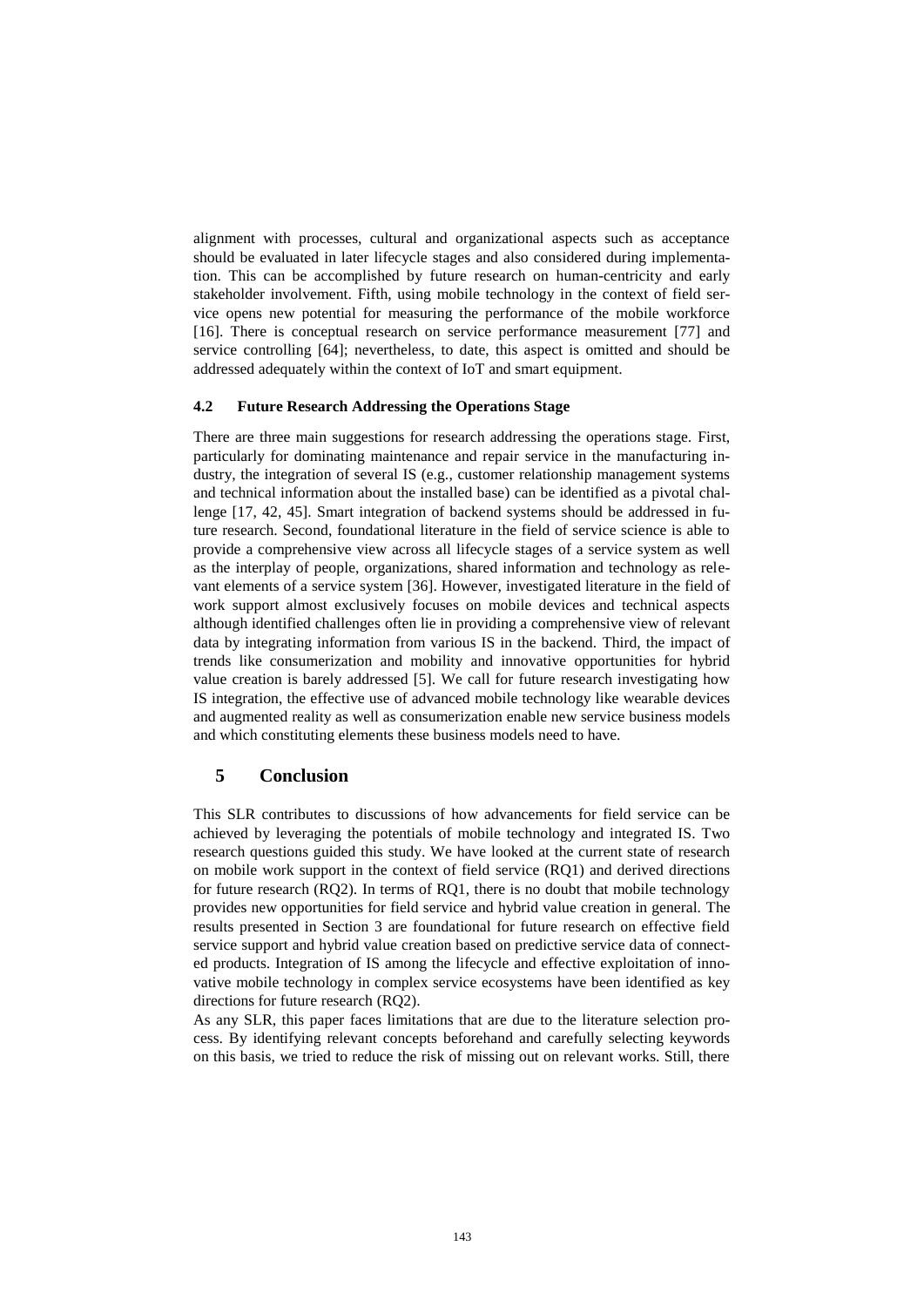alignment with processes, cultural and organizational aspects such as acceptance should be evaluated in later lifecycle stages and also considered during implementation. This can be accomplished by future research on human-centricity and early stakeholder involvement. Fifth, using mobile technology in the context of field service opens new potential for measuring the performance of the mobile workforce [16]. There is conceptual research on service performance measurement [77] and service controlling [64]; nevertheless, to date, this aspect is omitted and should be addressed adequately within the context of IoT and smart equipment.

#### **4.2 Future Research Addressing the Operations Stage**

There are three main suggestions for research addressing the operations stage. First, particularly for dominating maintenance and repair service in the manufacturing industry, the integration of several IS (e.g., customer relationship management systems and technical information about the installed base) can be identified as a pivotal challenge [17, 42, 45]. Smart integration of backend systems should be addressed in future research. Second, foundational literature in the field of service science is able to provide a comprehensive view across all lifecycle stages of a service system as well as the interplay of people, organizations, shared information and technology as relevant elements of a service system [36]. However, investigated literature in the field of work support almost exclusively focuses on mobile devices and technical aspects although identified challenges often lie in providing a comprehensive view of relevant data by integrating information from various IS in the backend. Third, the impact of trends like consumerization and mobility and innovative opportunities for hybrid value creation is barely addressed [5]. We call for future research investigating how IS integration, the effective use of advanced mobile technology like wearable devices and augmented reality as well as consumerization enable new service business models and which constituting elements these business models need to have.

## **5 Conclusion**

This SLR contributes to discussions of how advancements for field service can be achieved by leveraging the potentials of mobile technology and integrated IS. Two research questions guided this study. We have looked at the current state of research on mobile work support in the context of field service (RQ1) and derived directions for future research (RQ2). In terms of RQ1, there is no doubt that mobile technology provides new opportunities for field service and hybrid value creation in general. The results presented in Section [3](#page-5-2) are foundational for future research on effective field service support and hybrid value creation based on predictive service data of connected products. Integration of IS among the lifecycle and effective exploitation of innovative mobile technology in complex service ecosystems have been identified as key directions for future research (RQ2).

As any SLR, this paper faces limitations that are due to the literature selection process. By identifying relevant concepts beforehand and carefully selecting keywords on this basis, we tried to reduce the risk of missing out on relevant works. Still, there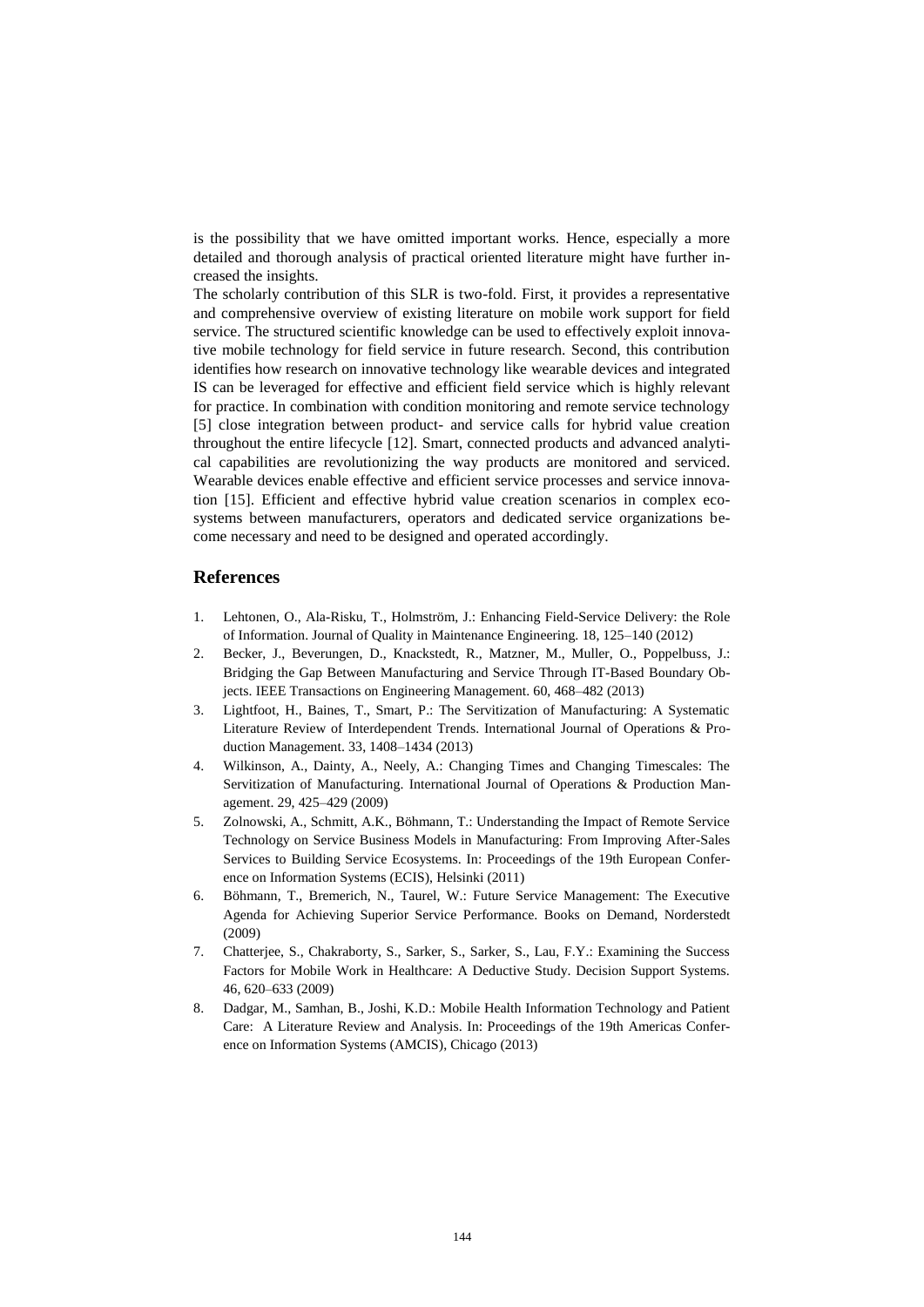is the possibility that we have omitted important works. Hence, especially a more detailed and thorough analysis of practical oriented literature might have further increased the insights.

The scholarly contribution of this SLR is two-fold. First, it provides a representative and comprehensive overview of existing literature on mobile work support for field service. The structured scientific knowledge can be used to effectively exploit innovative mobile technology for field service in future research. Second, this contribution identifies how research on innovative technology like wearable devices and integrated IS can be leveraged for effective and efficient field service which is highly relevant for practice. In combination with condition monitoring and remote service technology [5] close integration between product- and service calls for hybrid value creation throughout the entire lifecycle [12]. Smart, connected products and advanced analytical capabilities are revolutionizing the way products are monitored and serviced. Wearable devices enable effective and efficient service processes and service innovation [15]. Efficient and effective hybrid value creation scenarios in complex ecosystems between manufacturers, operators and dedicated service organizations become necessary and need to be designed and operated accordingly.

## **References**

- 1. Lehtonen, O., Ala-Risku, T., Holmström, J.: Enhancing Field-Service Delivery: the Role of Information. Journal of Quality in Maintenance Engineering. 18, 125–140 (2012)
- 2. Becker, J., Beverungen, D., Knackstedt, R., Matzner, M., Muller, O., Poppelbuss, J.: Bridging the Gap Between Manufacturing and Service Through IT-Based Boundary Objects. IEEE Transactions on Engineering Management. 60, 468–482 (2013)
- 3. Lightfoot, H., Baines, T., Smart, P.: The Servitization of Manufacturing: A Systematic Literature Review of Interdependent Trends. International Journal of Operations & Production Management. 33, 1408–1434 (2013)
- 4. Wilkinson, A., Dainty, A., Neely, A.: Changing Times and Changing Timescales: The Servitization of Manufacturing. International Journal of Operations & Production Management. 29, 425–429 (2009)
- 5. Zolnowski, A., Schmitt, A.K., Böhmann, T.: Understanding the Impact of Remote Service Technology on Service Business Models in Manufacturing: From Improving After-Sales Services to Building Service Ecosystems. In: Proceedings of the 19th European Conference on Information Systems (ECIS), Helsinki (2011)
- 6. Böhmann, T., Bremerich, N., Taurel, W.: Future Service Management: The Executive Agenda for Achieving Superior Service Performance. Books on Demand, Norderstedt (2009)
- 7. Chatterjee, S., Chakraborty, S., Sarker, S., Sarker, S., Lau, F.Y.: Examining the Success Factors for Mobile Work in Healthcare: A Deductive Study. Decision Support Systems. 46, 620–633 (2009)
- 8. Dadgar, M., Samhan, B., Joshi, K.D.: Mobile Health Information Technology and Patient Care: A Literature Review and Analysis. In: Proceedings of the 19th Americas Conference on Information Systems (AMCIS), Chicago (2013)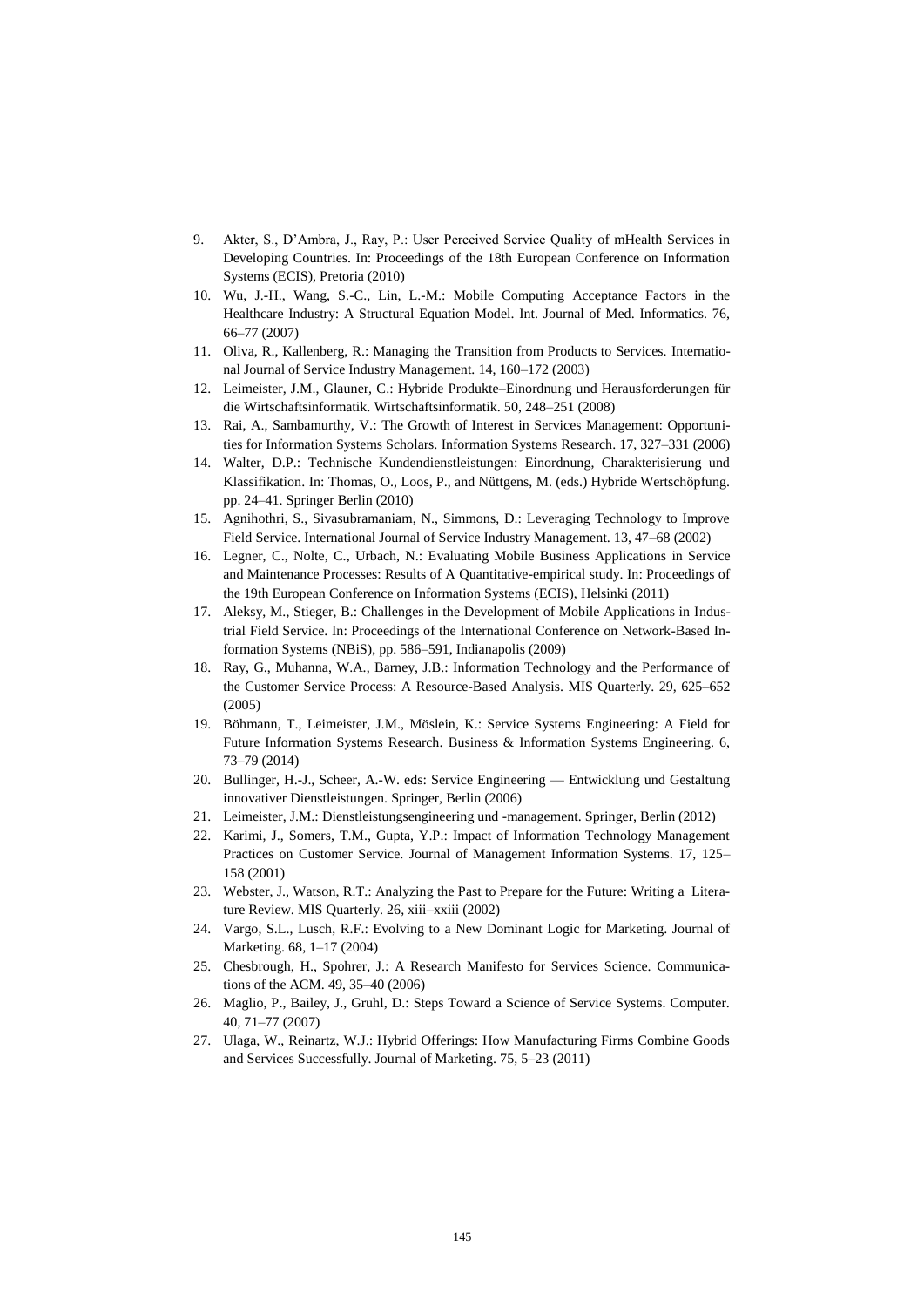- 9. Akter, S., D'Ambra, J., Ray, P.: User Perceived Service Quality of mHealth Services in Developing Countries. In: Proceedings of the 18th European Conference on Information Systems (ECIS), Pretoria (2010)
- 10. Wu, J.-H., Wang, S.-C., Lin, L.-M.: Mobile Computing Acceptance Factors in the Healthcare Industry: A Structural Equation Model. Int. Journal of Med. Informatics. 76, 66–77 (2007)
- 11. Oliva, R., Kallenberg, R.: Managing the Transition from Products to Services. International Journal of Service Industry Management. 14, 160–172 (2003)
- 12. Leimeister, J.M., Glauner, C.: Hybride Produkte–Einordnung und Herausforderungen für die Wirtschaftsinformatik. Wirtschaftsinformatik. 50, 248–251 (2008)
- 13. Rai, A., Sambamurthy, V.: The Growth of Interest in Services Management: Opportunities for Information Systems Scholars. Information Systems Research. 17, 327–331 (2006)
- 14. Walter, D.P.: Technische Kundendienstleistungen: Einordnung, Charakterisierung und Klassifikation. In: Thomas, O., Loos, P., and Nüttgens, M. (eds.) Hybride Wertschöpfung. pp. 24–41. Springer Berlin (2010)
- 15. Agnihothri, S., Sivasubramaniam, N., Simmons, D.: Leveraging Technology to Improve Field Service. International Journal of Service Industry Management. 13, 47–68 (2002)
- 16. Legner, C., Nolte, C., Urbach, N.: Evaluating Mobile Business Applications in Service and Maintenance Processes: Results of A Quantitative-empirical study. In: Proceedings of the 19th European Conference on Information Systems (ECIS), Helsinki (2011)
- 17. Aleksy, M., Stieger, B.: Challenges in the Development of Mobile Applications in Industrial Field Service. In: Proceedings of the International Conference on Network-Based Information Systems (NBiS), pp. 586–591, Indianapolis (2009)
- 18. Ray, G., Muhanna, W.A., Barney, J.B.: Information Technology and the Performance of the Customer Service Process: A Resource-Based Analysis. MIS Quarterly. 29, 625–652 (2005)
- 19. Böhmann, T., Leimeister, J.M., Möslein, K.: Service Systems Engineering: A Field for Future Information Systems Research. Business & Information Systems Engineering. 6, 73–79 (2014)
- 20. Bullinger, H.-J., Scheer, A.-W. eds: Service Engineering Entwicklung und Gestaltung innovativer Dienstleistungen. Springer, Berlin (2006)
- 21. Leimeister, J.M.: Dienstleistungsengineering und -management. Springer, Berlin (2012)
- 22. Karimi, J., Somers, T.M., Gupta, Y.P.: Impact of Information Technology Management Practices on Customer Service. Journal of Management Information Systems. 17, 125– 158 (2001)
- 23. Webster, J., Watson, R.T.: Analyzing the Past to Prepare for the Future: Writing a Literature Review. MIS Quarterly. 26, xiii–xxiii (2002)
- 24. Vargo, S.L., Lusch, R.F.: Evolving to a New Dominant Logic for Marketing. Journal of Marketing. 68, 1–17 (2004)
- 25. Chesbrough, H., Spohrer, J.: A Research Manifesto for Services Science. Communications of the ACM. 49, 35–40 (2006)
- 26. Maglio, P., Bailey, J., Gruhl, D.: Steps Toward a Science of Service Systems. Computer. 40, 71–77 (2007)
- 27. Ulaga, W., Reinartz, W.J.: Hybrid Offerings: How Manufacturing Firms Combine Goods and Services Successfully. Journal of Marketing. 75, 5–23 (2011)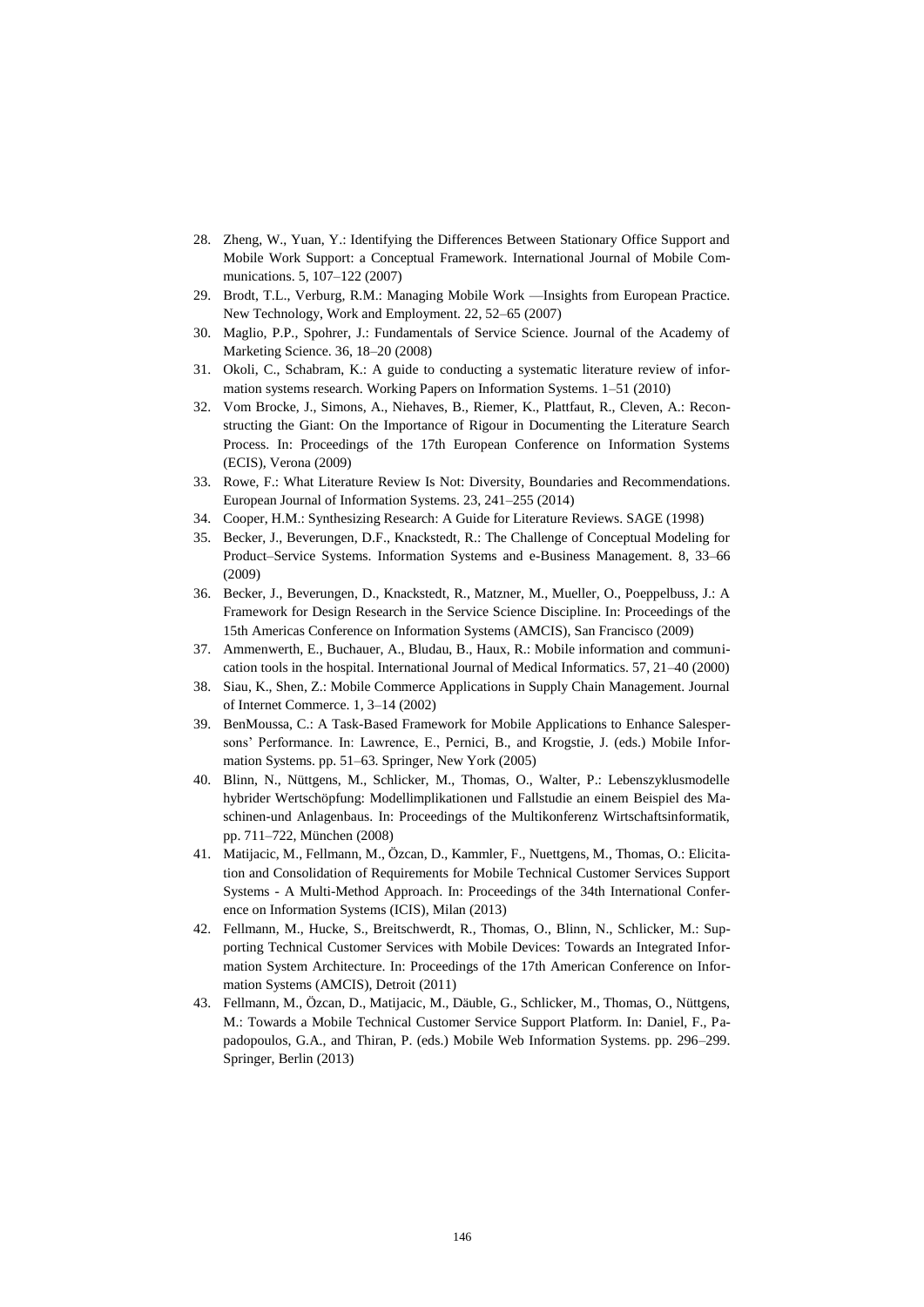- 28. Zheng, W., Yuan, Y.: Identifying the Differences Between Stationary Office Support and Mobile Work Support: a Conceptual Framework. International Journal of Mobile Communications. 5, 107–122 (2007)
- 29. Brodt, T.L., Verburg, R.M.: Managing Mobile Work —Insights from European Practice. New Technology, Work and Employment. 22, 52–65 (2007)
- 30. Maglio, P.P., Spohrer, J.: Fundamentals of Service Science. Journal of the Academy of Marketing Science. 36, 18–20 (2008)
- 31. Okoli, C., Schabram, K.: A guide to conducting a systematic literature review of information systems research. Working Papers on Information Systems. 1–51 (2010)
- 32. Vom Brocke, J., Simons, A., Niehaves, B., Riemer, K., Plattfaut, R., Cleven, A.: Reconstructing the Giant: On the Importance of Rigour in Documenting the Literature Search Process. In: Proceedings of the 17th European Conference on Information Systems (ECIS), Verona (2009)
- 33. Rowe, F.: What Literature Review Is Not: Diversity, Boundaries and Recommendations. European Journal of Information Systems. 23, 241–255 (2014)
- 34. Cooper, H.M.: Synthesizing Research: A Guide for Literature Reviews. SAGE (1998)
- 35. Becker, J., Beverungen, D.F., Knackstedt, R.: The Challenge of Conceptual Modeling for Product–Service Systems. Information Systems and e-Business Management. 8, 33–66 (2009)
- 36. Becker, J., Beverungen, D., Knackstedt, R., Matzner, M., Mueller, O., Poeppelbuss, J.: A Framework for Design Research in the Service Science Discipline. In: Proceedings of the 15th Americas Conference on Information Systems (AMCIS), San Francisco (2009)
- 37. Ammenwerth, E., Buchauer, A., Bludau, B., Haux, R.: Mobile information and communication tools in the hospital. International Journal of Medical Informatics. 57, 21–40 (2000)
- 38. Siau, K., Shen, Z.: Mobile Commerce Applications in Supply Chain Management. Journal of Internet Commerce. 1, 3–14 (2002)
- 39. BenMoussa, C.: A Task-Based Framework for Mobile Applications to Enhance Salespersons' Performance. In: Lawrence, E., Pernici, B., and Krogstie, J. (eds.) Mobile Information Systems. pp. 51–63. Springer, New York (2005)
- 40. Blinn, N., Nüttgens, M., Schlicker, M., Thomas, O., Walter, P.: Lebenszyklusmodelle hybrider Wertschöpfung: Modellimplikationen und Fallstudie an einem Beispiel des Maschinen-und Anlagenbaus. In: Proceedings of the Multikonferenz Wirtschaftsinformatik, pp. 711–722, München (2008)
- 41. Matijacic, M., Fellmann, M., Özcan, D., Kammler, F., Nuettgens, M., Thomas, O.: Elicitation and Consolidation of Requirements for Mobile Technical Customer Services Support Systems - A Multi-Method Approach. In: Proceedings of the 34th International Conference on Information Systems (ICIS), Milan (2013)
- 42. Fellmann, M., Hucke, S., Breitschwerdt, R., Thomas, O., Blinn, N., Schlicker, M.: Supporting Technical Customer Services with Mobile Devices: Towards an Integrated Information System Architecture. In: Proceedings of the 17th American Conference on Information Systems (AMCIS), Detroit (2011)
- 43. Fellmann, M., Özcan, D., Matijacic, M., Däuble, G., Schlicker, M., Thomas, O., Nüttgens, M.: Towards a Mobile Technical Customer Service Support Platform. In: Daniel, F., Papadopoulos, G.A., and Thiran, P. (eds.) Mobile Web Information Systems. pp. 296–299. Springer, Berlin (2013)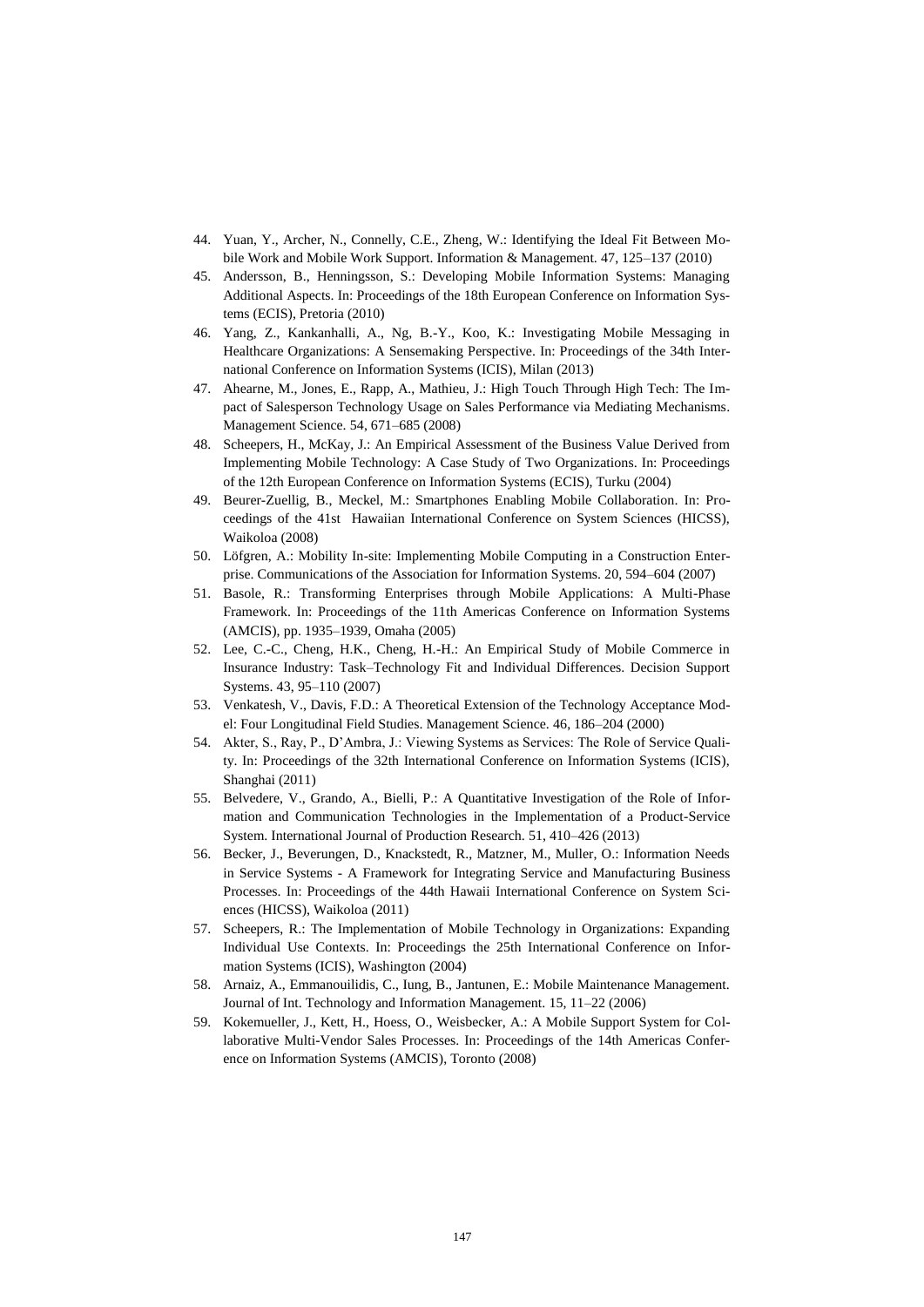- 44. Yuan, Y., Archer, N., Connelly, C.E., Zheng, W.: Identifying the Ideal Fit Between Mobile Work and Mobile Work Support. Information & Management. 47, 125–137 (2010)
- 45. Andersson, B., Henningsson, S.: Developing Mobile Information Systems: Managing Additional Aspects. In: Proceedings of the 18th European Conference on Information Systems (ECIS), Pretoria (2010)
- 46. Yang, Z., Kankanhalli, A., Ng, B.-Y., Koo, K.: Investigating Mobile Messaging in Healthcare Organizations: A Sensemaking Perspective. In: Proceedings of the 34th International Conference on Information Systems (ICIS), Milan (2013)
- 47. Ahearne, M., Jones, E., Rapp, A., Mathieu, J.: High Touch Through High Tech: The Impact of Salesperson Technology Usage on Sales Performance via Mediating Mechanisms. Management Science. 54, 671–685 (2008)
- 48. Scheepers, H., McKay, J.: An Empirical Assessment of the Business Value Derived from Implementing Mobile Technology: A Case Study of Two Organizations. In: Proceedings of the 12th European Conference on Information Systems (ECIS), Turku (2004)
- 49. Beurer-Zuellig, B., Meckel, M.: Smartphones Enabling Mobile Collaboration. In: Proceedings of the 41st Hawaiian International Conference on System Sciences (HICSS), Waikoloa (2008)
- 50. Löfgren, A.: Mobility In-site: Implementing Mobile Computing in a Construction Enterprise. Communications of the Association for Information Systems. 20, 594–604 (2007)
- 51. Basole, R.: Transforming Enterprises through Mobile Applications: A Multi-Phase Framework. In: Proceedings of the 11th Americas Conference on Information Systems (AMCIS), pp. 1935–1939, Omaha (2005)
- 52. Lee, C.-C., Cheng, H.K., Cheng, H.-H.: An Empirical Study of Mobile Commerce in Insurance Industry: Task–Technology Fit and Individual Differences. Decision Support Systems. 43, 95–110 (2007)
- 53. Venkatesh, V., Davis, F.D.: A Theoretical Extension of the Technology Acceptance Model: Four Longitudinal Field Studies. Management Science. 46, 186–204 (2000)
- 54. Akter, S., Ray, P., D'Ambra, J.: Viewing Systems as Services: The Role of Service Quality. In: Proceedings of the 32th International Conference on Information Systems (ICIS), Shanghai (2011)
- 55. Belvedere, V., Grando, A., Bielli, P.: A Quantitative Investigation of the Role of Information and Communication Technologies in the Implementation of a Product-Service System. International Journal of Production Research. 51, 410–426 (2013)
- 56. Becker, J., Beverungen, D., Knackstedt, R., Matzner, M., Muller, O.: Information Needs in Service Systems - A Framework for Integrating Service and Manufacturing Business Processes. In: Proceedings of the 44th Hawaii International Conference on System Sciences (HICSS), Waikoloa (2011)
- 57. Scheepers, R.: The Implementation of Mobile Technology in Organizations: Expanding Individual Use Contexts. In: Proceedings the 25th International Conference on Information Systems (ICIS), Washington (2004)
- 58. Arnaiz, A., Emmanouilidis, C., Iung, B., Jantunen, E.: Mobile Maintenance Management. Journal of Int. Technology and Information Management. 15, 11–22 (2006)
- 59. Kokemueller, J., Kett, H., Hoess, O., Weisbecker, A.: A Mobile Support System for Collaborative Multi-Vendor Sales Processes. In: Proceedings of the 14th Americas Conference on Information Systems (AMCIS), Toronto (2008)